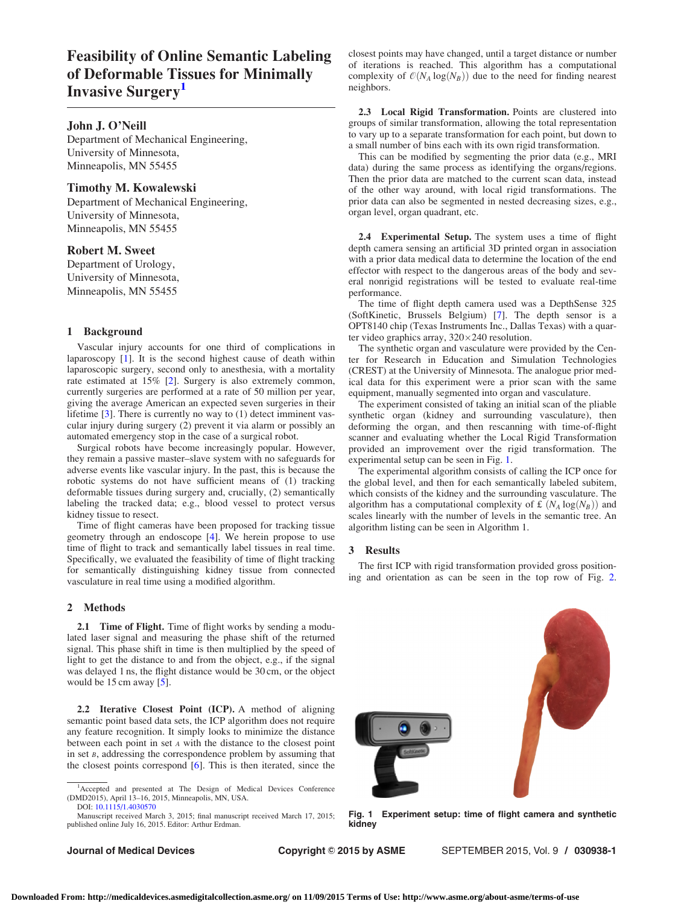# Feasibility of Online Semantic Labeling of Deformable Tissues for Minimally Invasive Surgery<sup>1</sup>

# John J. O'Neill

Department of Mechanical Engineering, University of Minnesota, Minneapolis, MN 55455

## Timothy M. Kowalewski

Department of Mechanical Engineering, University of Minnesota, Minneapolis, MN 55455

## Robert M. Sweet

Department of Urology, University of Minnesota, Minneapolis, MN 55455

## 1 Background

Vascular injury accounts for one third of complications in laparoscopy [[1](#page-1-0)]. It is the second highest cause of death within laparoscopic surgery, second only to anesthesia, with a mortality rate estimated at 15% [[2](#page-1-0)]. Surgery is also extremely common, currently surgeries are performed at a rate of 50 million per year, giving the average American an expected seven surgeries in their lifetime [[3](#page-1-0)]. There is currently no way to (1) detect imminent vascular injury during surgery (2) prevent it via alarm or possibly an automated emergency stop in the case of a surgical robot.

Surgical robots have become increasingly popular. However, they remain a passive master–slave system with no safeguards for adverse events like vascular injury. In the past, this is because the robotic systems do not have sufficient means of (1) tracking deformable tissues during surgery and, crucially, (2) semantically labeling the tracked data; e.g., blood vessel to protect versus kidney tissue to resect.

Time of flight cameras have been proposed for tracking tissue geometry through an endoscope [[4](#page-1-0)]. We herein propose to use time of flight to track and semantically label tissues in real time. Specifically, we evaluated the feasibility of time of flight tracking for semantically distinguishing kidney tissue from connected vasculature in real time using a modified algorithm.

#### 2 Methods

2.1 Time of Flight. Time of flight works by sending a modulated laser signal and measuring the phase shift of the returned signal. This phase shift in time is then multiplied by the speed of light to get the distance to and from the object, e.g., if the signal was delayed 1 ns, the flight distance would be 30 cm, or the object would be 15 cm away [[5](#page-1-0)].

2.2 Iterative Closest Point (ICP). A method of aligning semantic point based data sets, the ICP algorithm does not require any feature recognition. It simply looks to minimize the distance between each point in set <sup>A</sup> with the distance to the closest point in set  $B$ , addressing the correspondence problem by assuming that the closest points correspond [[6](#page-1-0)]. This is then iterated, since the

Manuscript received March 3, 2015; final manuscript received March 17, 2015; published online July 16, 2015. Editor: Arthur Erdman.

closest points may have changed, until a target distance or number of iterations is reached. This algorithm has a computational complexity of  $O(N_A \log(N_B))$  due to the need for finding nearest neighbors.

2.3 Local Rigid Transformation. Points are clustered into groups of similar transformation, allowing the total representation to vary up to a separate transformation for each point, but down to a small number of bins each with its own rigid transformation.

This can be modified by segmenting the prior data (e.g., MRI data) during the same process as identifying the organs/regions. Then the prior data are matched to the current scan data, instead of the other way around, with local rigid transformations. The prior data can also be segmented in nested decreasing sizes, e.g., organ level, organ quadrant, etc.

2.4 Experimental Setup. The system uses a time of flight depth camera sensing an artificial 3D printed organ in association with a prior data medical data to determine the location of the end effector with respect to the dangerous areas of the body and several nonrigid registrations will be tested to evaluate real-time performance.

The time of flight depth camera used was a DepthSense 325 (SoftKinetic, Brussels Belgium) [[7](#page-1-0)]. The depth sensor is a OPT8140 chip (Texas Instruments Inc., Dallas Texas) with a quarter video graphics array,  $320 \times 240$  resolution.

The synthetic organ and vasculature were provided by the Center for Research in Education and Simulation Technologies (CREST) at the University of Minnesota. The analogue prior medical data for this experiment were a prior scan with the same equipment, manually segmented into organ and vasculature.

The experiment consisted of taking an initial scan of the pliable synthetic organ (kidney and surrounding vasculature), then deforming the organ, and then rescanning with time-of-flight scanner and evaluating whether the Local Rigid Transformation provided an improvement over the rigid transformation. The experimental setup can be seen in Fig. 1.

The experimental algorithm consists of calling the ICP once for the global level, and then for each semantically labeled subitem, which consists of the kidney and the surrounding vasculature. The algorithm has a computational complexity of £  $(N_A \log(N_B))$  and scales linearly with the number of levels in the semantic tree. An algorithm listing can be seen in Algorithm 1.

#### 3 Results

The first ICP with rigid transformation provided gross positioning and orientation as can be seen in the top row of Fig. [2.](#page-1-0)

Fig. 1 Experiment setup: time of flight camera and synthetic kidney





<sup>&</sup>lt;sup>1</sup>Accepted and presented at The Design of Medical Devices Conference (DMD2015), April 13–16, 2015, Minneapolis, MN, USA. DOI: [10.1115/1.4030570](http://dx.doi.org/10.1115/1.4030570)